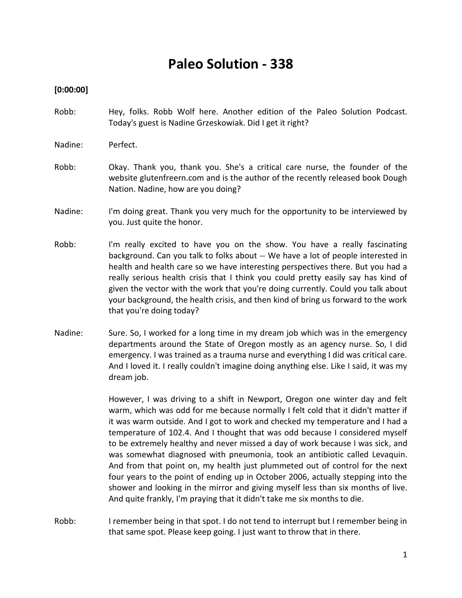# **Paleo Solution - 338**

# **[0:00:00]**

- Robb: Hey, folks. Robb Wolf here. Another edition of the Paleo Solution Podcast. Today's guest is Nadine Grzeskowiak. Did I get it right?
- Nadine: Perfect.
- Robb: Okay. Thank you, thank you. She's a critical care nurse, the founder of the website glutenfreern.com and is the author of the recently released book Dough Nation. Nadine, how are you doing?
- Nadine: I'm doing great. Thank you very much for the opportunity to be interviewed by you. Just quite the honor.
- Robb: I'm really excited to have you on the show. You have a really fascinating background. Can you talk to folks about -- We have a lot of people interested in health and health care so we have interesting perspectives there. But you had a really serious health crisis that I think you could pretty easily say has kind of given the vector with the work that you're doing currently. Could you talk about your background, the health crisis, and then kind of bring us forward to the work that you're doing today?
- Nadine: Sure. So, I worked for a long time in my dream job which was in the emergency departments around the State of Oregon mostly as an agency nurse. So, I did emergency. I was trained as a trauma nurse and everything I did was critical care. And I loved it. I really couldn't imagine doing anything else. Like I said, it was my dream job.

However, I was driving to a shift in Newport, Oregon one winter day and felt warm, which was odd for me because normally I felt cold that it didn't matter if it was warm outside. And I got to work and checked my temperature and I had a temperature of 102.4. And I thought that was odd because I considered myself to be extremely healthy and never missed a day of work because I was sick, and was somewhat diagnosed with pneumonia, took an antibiotic called Levaquin. And from that point on, my health just plummeted out of control for the next four years to the point of ending up in October 2006, actually stepping into the shower and looking in the mirror and giving myself less than six months of live. And quite frankly, I'm praying that it didn't take me six months to die.

Robb: I remember being in that spot. I do not tend to interrupt but I remember being in that same spot. Please keep going. I just want to throw that in there.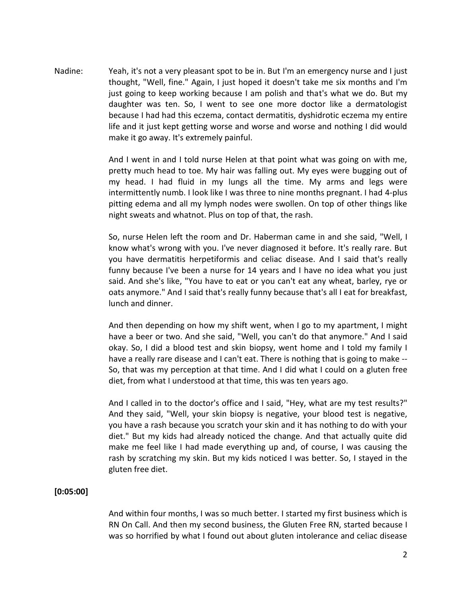Nadine: Yeah, it's not a very pleasant spot to be in. But I'm an emergency nurse and I just thought, "Well, fine." Again, I just hoped it doesn't take me six months and I'm just going to keep working because I am polish and that's what we do. But my daughter was ten. So, I went to see one more doctor like a dermatologist because I had had this eczema, contact dermatitis, dyshidrotic eczema my entire life and it just kept getting worse and worse and worse and nothing I did would make it go away. It's extremely painful.

> And I went in and I told nurse Helen at that point what was going on with me, pretty much head to toe. My hair was falling out. My eyes were bugging out of my head. I had fluid in my lungs all the time. My arms and legs were intermittently numb. I look like I was three to nine months pregnant. I had 4-plus pitting edema and all my lymph nodes were swollen. On top of other things like night sweats and whatnot. Plus on top of that, the rash.

> So, nurse Helen left the room and Dr. Haberman came in and she said, "Well, I know what's wrong with you. I've never diagnosed it before. It's really rare. But you have dermatitis herpetiformis and celiac disease. And I said that's really funny because I've been a nurse for 14 years and I have no idea what you just said. And she's like, "You have to eat or you can't eat any wheat, barley, rye or oats anymore." And I said that's really funny because that's all I eat for breakfast, lunch and dinner.

> And then depending on how my shift went, when I go to my apartment, I might have a beer or two. And she said, "Well, you can't do that anymore." And I said okay. So, I did a blood test and skin biopsy, went home and I told my family I have a really rare disease and I can't eat. There is nothing that is going to make -- So, that was my perception at that time. And I did what I could on a gluten free diet, from what I understood at that time, this was ten years ago.

> And I called in to the doctor's office and I said, "Hey, what are my test results?" And they said, "Well, your skin biopsy is negative, your blood test is negative, you have a rash because you scratch your skin and it has nothing to do with your diet." But my kids had already noticed the change. And that actually quite did make me feel like I had made everything up and, of course, I was causing the rash by scratching my skin. But my kids noticed I was better. So, I stayed in the gluten free diet.

## **[0:05:00]**

And within four months, I was so much better. I started my first business which is RN On Call. And then my second business, the Gluten Free RN, started because I was so horrified by what I found out about gluten intolerance and celiac disease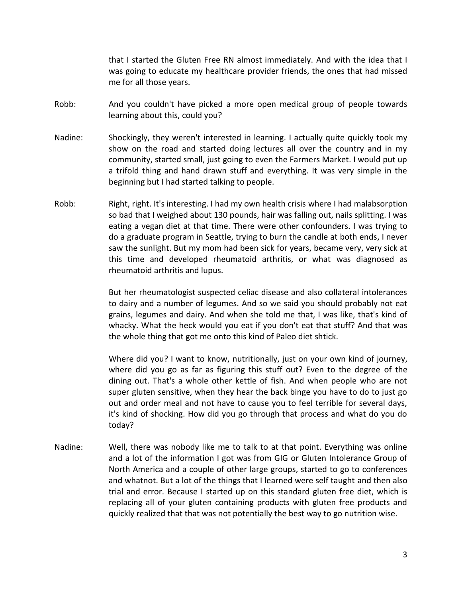that I started the Gluten Free RN almost immediately. And with the idea that I was going to educate my healthcare provider friends, the ones that had missed me for all those years.

- Robb: And you couldn't have picked a more open medical group of people towards learning about this, could you?
- Nadine: Shockingly, they weren't interested in learning. I actually quite quickly took my show on the road and started doing lectures all over the country and in my community, started small, just going to even the Farmers Market. I would put up a trifold thing and hand drawn stuff and everything. It was very simple in the beginning but I had started talking to people.
- Robb: Right, right. It's interesting. I had my own health crisis where I had malabsorption so bad that I weighed about 130 pounds, hair was falling out, nails splitting. I was eating a vegan diet at that time. There were other confounders. I was trying to do a graduate program in Seattle, trying to burn the candle at both ends, I never saw the sunlight. But my mom had been sick for years, became very, very sick at this time and developed rheumatoid arthritis, or what was diagnosed as rheumatoid arthritis and lupus.

But her rheumatologist suspected celiac disease and also collateral intolerances to dairy and a number of legumes. And so we said you should probably not eat grains, legumes and dairy. And when she told me that, I was like, that's kind of whacky. What the heck would you eat if you don't eat that stuff? And that was the whole thing that got me onto this kind of Paleo diet shtick.

Where did you? I want to know, nutritionally, just on your own kind of journey, where did you go as far as figuring this stuff out? Even to the degree of the dining out. That's a whole other kettle of fish. And when people who are not super gluten sensitive, when they hear the back binge you have to do to just go out and order meal and not have to cause you to feel terrible for several days, it's kind of shocking. How did you go through that process and what do you do today?

Nadine: Well, there was nobody like me to talk to at that point. Everything was online and a lot of the information I got was from GIG or Gluten Intolerance Group of North America and a couple of other large groups, started to go to conferences and whatnot. But a lot of the things that I learned were self taught and then also trial and error. Because I started up on this standard gluten free diet, which is replacing all of your gluten containing products with gluten free products and quickly realized that that was not potentially the best way to go nutrition wise.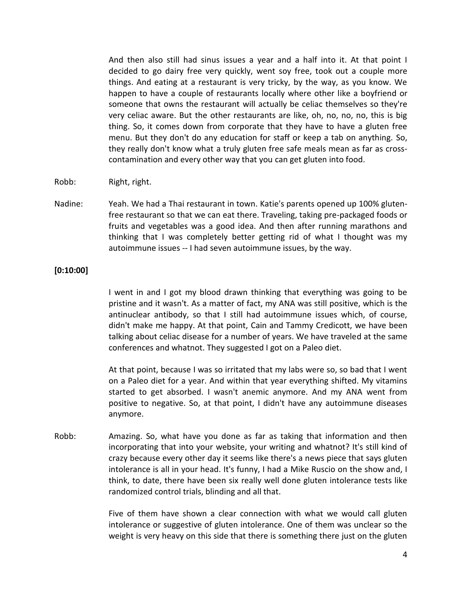And then also still had sinus issues a year and a half into it. At that point I decided to go dairy free very quickly, went soy free, took out a couple more things. And eating at a restaurant is very tricky, by the way, as you know. We happen to have a couple of restaurants locally where other like a boyfriend or someone that owns the restaurant will actually be celiac themselves so they're very celiac aware. But the other restaurants are like, oh, no, no, no, this is big thing. So, it comes down from corporate that they have to have a gluten free menu. But they don't do any education for staff or keep a tab on anything. So, they really don't know what a truly gluten free safe meals mean as far as crosscontamination and every other way that you can get gluten into food.

- Robb: Right, right.
- Nadine: Yeah. We had a Thai restaurant in town. Katie's parents opened up 100% glutenfree restaurant so that we can eat there. Traveling, taking pre-packaged foods or fruits and vegetables was a good idea. And then after running marathons and thinking that I was completely better getting rid of what I thought was my autoimmune issues -- I had seven autoimmune issues, by the way.

#### **[0:10:00]**

I went in and I got my blood drawn thinking that everything was going to be pristine and it wasn't. As a matter of fact, my ANA was still positive, which is the antinuclear antibody, so that I still had autoimmune issues which, of course, didn't make me happy. At that point, Cain and Tammy Credicott, we have been talking about celiac disease for a number of years. We have traveled at the same conferences and whatnot. They suggested I got on a Paleo diet.

At that point, because I was so irritated that my labs were so, so bad that I went on a Paleo diet for a year. And within that year everything shifted. My vitamins started to get absorbed. I wasn't anemic anymore. And my ANA went from positive to negative. So, at that point, I didn't have any autoimmune diseases anymore.

Robb: Amazing. So, what have you done as far as taking that information and then incorporating that into your website, your writing and whatnot? It's still kind of crazy because every other day it seems like there's a news piece that says gluten intolerance is all in your head. It's funny, I had a Mike Ruscio on the show and, I think, to date, there have been six really well done gluten intolerance tests like randomized control trials, blinding and all that.

> Five of them have shown a clear connection with what we would call gluten intolerance or suggestive of gluten intolerance. One of them was unclear so the weight is very heavy on this side that there is something there just on the gluten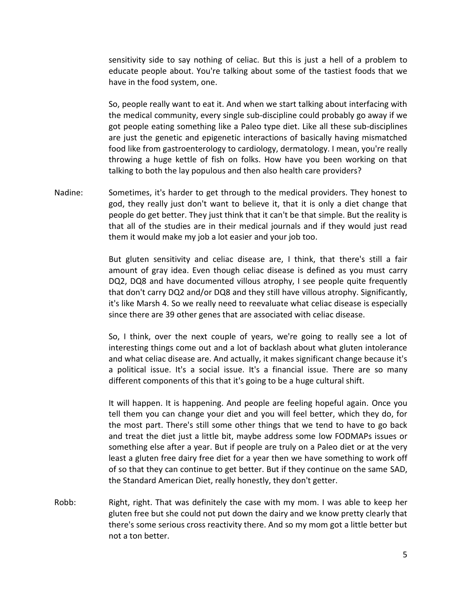sensitivity side to say nothing of celiac. But this is just a hell of a problem to educate people about. You're talking about some of the tastiest foods that we have in the food system, one.

So, people really want to eat it. And when we start talking about interfacing with the medical community, every single sub-discipline could probably go away if we got people eating something like a Paleo type diet. Like all these sub-disciplines are just the genetic and epigenetic interactions of basically having mismatched food like from gastroenterology to cardiology, dermatology. I mean, you're really throwing a huge kettle of fish on folks. How have you been working on that talking to both the lay populous and then also health care providers?

Nadine: Sometimes, it's harder to get through to the medical providers. They honest to god, they really just don't want to believe it, that it is only a diet change that people do get better. They just think that it can't be that simple. But the reality is that all of the studies are in their medical journals and if they would just read them it would make my job a lot easier and your job too.

> But gluten sensitivity and celiac disease are, I think, that there's still a fair amount of gray idea. Even though celiac disease is defined as you must carry DQ2, DQ8 and have documented villous atrophy, I see people quite frequently that don't carry DQ2 and/or DQ8 and they still have villous atrophy. Significantly, it's like Marsh 4. So we really need to reevaluate what celiac disease is especially since there are 39 other genes that are associated with celiac disease.

> So, I think, over the next couple of years, we're going to really see a lot of interesting things come out and a lot of backlash about what gluten intolerance and what celiac disease are. And actually, it makes significant change because it's a political issue. It's a social issue. It's a financial issue. There are so many different components of this that it's going to be a huge cultural shift.

> It will happen. It is happening. And people are feeling hopeful again. Once you tell them you can change your diet and you will feel better, which they do, for the most part. There's still some other things that we tend to have to go back and treat the diet just a little bit, maybe address some low FODMAPs issues or something else after a year. But if people are truly on a Paleo diet or at the very least a gluten free dairy free diet for a year then we have something to work off of so that they can continue to get better. But if they continue on the same SAD, the Standard American Diet, really honestly, they don't getter.

Robb: Right, right. That was definitely the case with my mom. I was able to keep her gluten free but she could not put down the dairy and we know pretty clearly that there's some serious cross reactivity there. And so my mom got a little better but not a ton better.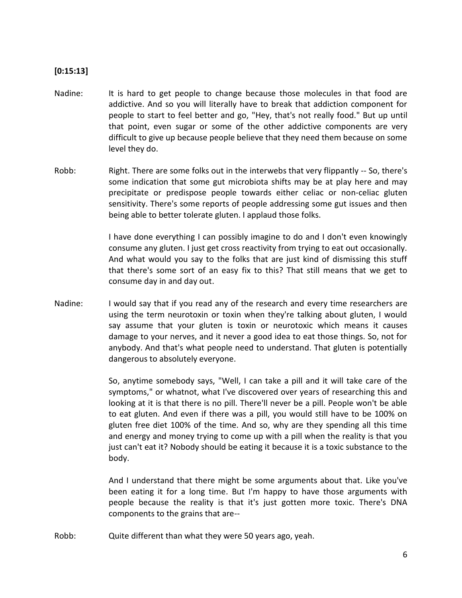# **[0:15:13]**

- Nadine: It is hard to get people to change because those molecules in that food are addictive. And so you will literally have to break that addiction component for people to start to feel better and go, "Hey, that's not really food." But up until that point, even sugar or some of the other addictive components are very difficult to give up because people believe that they need them because on some level they do.
- Robb: Right. There are some folks out in the interwebs that very flippantly -- So, there's some indication that some gut microbiota shifts may be at play here and may precipitate or predispose people towards either celiac or non-celiac gluten sensitivity. There's some reports of people addressing some gut issues and then being able to better tolerate gluten. I applaud those folks.

I have done everything I can possibly imagine to do and I don't even knowingly consume any gluten. I just get cross reactivity from trying to eat out occasionally. And what would you say to the folks that are just kind of dismissing this stuff that there's some sort of an easy fix to this? That still means that we get to consume day in and day out.

Nadine: I would say that if you read any of the research and every time researchers are using the term neurotoxin or toxin when they're talking about gluten, I would say assume that your gluten is toxin or neurotoxic which means it causes damage to your nerves, and it never a good idea to eat those things. So, not for anybody. And that's what people need to understand. That gluten is potentially dangerous to absolutely everyone.

> So, anytime somebody says, "Well, I can take a pill and it will take care of the symptoms," or whatnot, what I've discovered over years of researching this and looking at it is that there is no pill. There'll never be a pill. People won't be able to eat gluten. And even if there was a pill, you would still have to be 100% on gluten free diet 100% of the time. And so, why are they spending all this time and energy and money trying to come up with a pill when the reality is that you just can't eat it? Nobody should be eating it because it is a toxic substance to the body.

> And I understand that there might be some arguments about that. Like you've been eating it for a long time. But I'm happy to have those arguments with people because the reality is that it's just gotten more toxic. There's DNA components to the grains that are--

Robb: Quite different than what they were 50 years ago, yeah.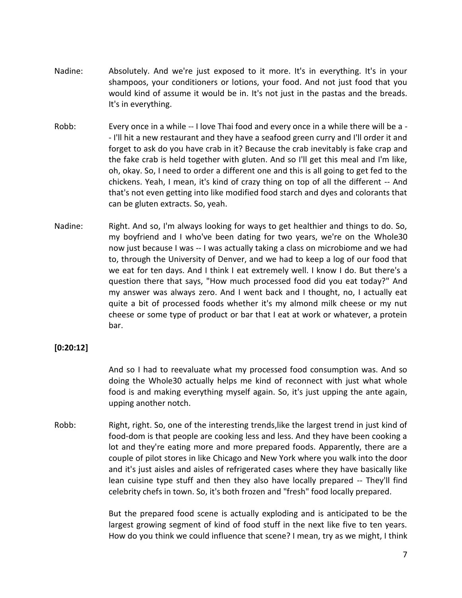- Nadine: Absolutely. And we're just exposed to it more. It's in everything. It's in your shampoos, your conditioners or lotions, your food. And not just food that you would kind of assume it would be in. It's not just in the pastas and the breads. It's in everything.
- Robb: Every once in a while -- I love Thai food and every once in a while there will be a -- I'll hit a new restaurant and they have a seafood green curry and I'll order it and forget to ask do you have crab in it? Because the crab inevitably is fake crap and the fake crab is held together with gluten. And so I'll get this meal and I'm like, oh, okay. So, I need to order a different one and this is all going to get fed to the chickens. Yeah, I mean, it's kind of crazy thing on top of all the different -- And that's not even getting into like modified food starch and dyes and colorants that can be gluten extracts. So, yeah.
- Nadine: Right. And so, I'm always looking for ways to get healthier and things to do. So, my boyfriend and I who've been dating for two years, we're on the Whole30 now just because I was -- I was actually taking a class on microbiome and we had to, through the University of Denver, and we had to keep a log of our food that we eat for ten days. And I think I eat extremely well. I know I do. But there's a question there that says, "How much processed food did you eat today?" And my answer was always zero. And I went back and I thought, no, I actually eat quite a bit of processed foods whether it's my almond milk cheese or my nut cheese or some type of product or bar that I eat at work or whatever, a protein bar.

## **[0:20:12]**

And so I had to reevaluate what my processed food consumption was. And so doing the Whole30 actually helps me kind of reconnect with just what whole food is and making everything myself again. So, it's just upping the ante again, upping another notch.

Robb: Right, right. So, one of the interesting trends,like the largest trend in just kind of food-dom is that people are cooking less and less. And they have been cooking a lot and they're eating more and more prepared foods. Apparently, there are a couple of pilot stores in like Chicago and New York where you walk into the door and it's just aisles and aisles of refrigerated cases where they have basically like lean cuisine type stuff and then they also have locally prepared -- They'll find celebrity chefs in town. So, it's both frozen and "fresh" food locally prepared.

> But the prepared food scene is actually exploding and is anticipated to be the largest growing segment of kind of food stuff in the next like five to ten years. How do you think we could influence that scene? I mean, try as we might, I think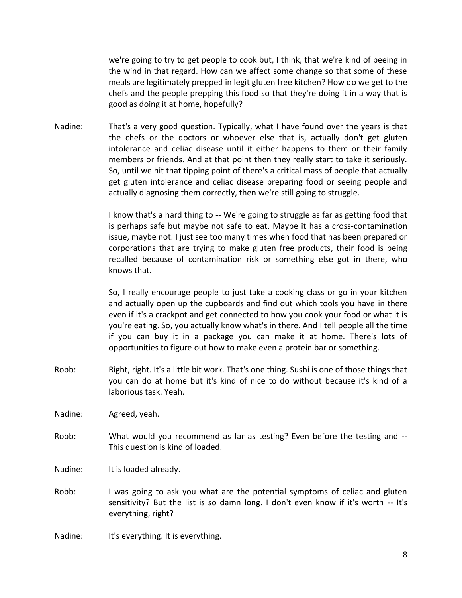we're going to try to get people to cook but, I think, that we're kind of peeing in the wind in that regard. How can we affect some change so that some of these meals are legitimately prepped in legit gluten free kitchen? How do we get to the chefs and the people prepping this food so that they're doing it in a way that is good as doing it at home, hopefully?

Nadine: That's a very good question. Typically, what I have found over the years is that the chefs or the doctors or whoever else that is, actually don't get gluten intolerance and celiac disease until it either happens to them or their family members or friends. And at that point then they really start to take it seriously. So, until we hit that tipping point of there's a critical mass of people that actually get gluten intolerance and celiac disease preparing food or seeing people and actually diagnosing them correctly, then we're still going to struggle.

> I know that's a hard thing to -- We're going to struggle as far as getting food that is perhaps safe but maybe not safe to eat. Maybe it has a cross-contamination issue, maybe not. I just see too many times when food that has been prepared or corporations that are trying to make gluten free products, their food is being recalled because of contamination risk or something else got in there, who knows that.

> So, I really encourage people to just take a cooking class or go in your kitchen and actually open up the cupboards and find out which tools you have in there even if it's a crackpot and get connected to how you cook your food or what it is you're eating. So, you actually know what's in there. And I tell people all the time if you can buy it in a package you can make it at home. There's lots of opportunities to figure out how to make even a protein bar or something.

Robb: Right, right. It's a little bit work. That's one thing. Sushi is one of those things that you can do at home but it's kind of nice to do without because it's kind of a laborious task. Yeah.

Nadine: Agreed, yeah.

Robb: What would you recommend as far as testing? Even before the testing and -- This question is kind of loaded.

Nadine: It is loaded already.

Robb: I was going to ask you what are the potential symptoms of celiac and gluten sensitivity? But the list is so damn long. I don't even know if it's worth -- It's everything, right?

Nadine: It's everything. It is everything.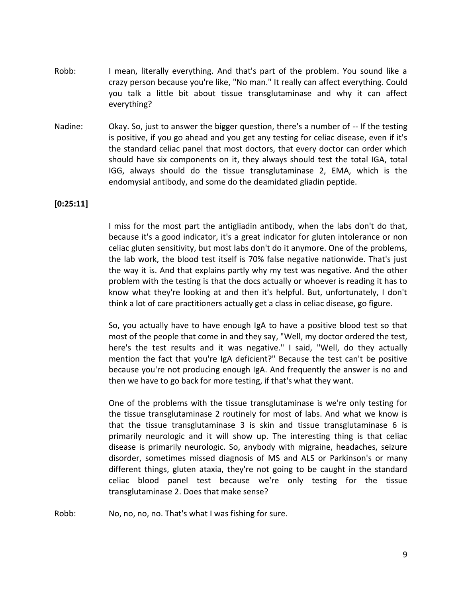- Robb: I mean, literally everything. And that's part of the problem. You sound like a crazy person because you're like, "No man." It really can affect everything. Could you talk a little bit about tissue transglutaminase and why it can affect everything?
- Nadine: Okay. So, just to answer the bigger question, there's a number of -- If the testing is positive, if you go ahead and you get any testing for celiac disease, even if it's the standard celiac panel that most doctors, that every doctor can order which should have six components on it, they always should test the total IGA, total IGG, always should do the tissue transglutaminase 2, EMA, which is the endomysial antibody, and some do the deamidated gliadin peptide.

## **[0:25:11]**

I miss for the most part the antigliadin antibody, when the labs don't do that, because it's a good indicator, it's a great indicator for gluten intolerance or non celiac gluten sensitivity, but most labs don't do it anymore. One of the problems, the lab work, the blood test itself is 70% false negative nationwide. That's just the way it is. And that explains partly why my test was negative. And the other problem with the testing is that the docs actually or whoever is reading it has to know what they're looking at and then it's helpful. But, unfortunately, I don't think a lot of care practitioners actually get a class in celiac disease, go figure.

So, you actually have to have enough IgA to have a positive blood test so that most of the people that come in and they say, "Well, my doctor ordered the test, here's the test results and it was negative." I said, "Well, do they actually mention the fact that you're IgA deficient?" Because the test can't be positive because you're not producing enough IgA. And frequently the answer is no and then we have to go back for more testing, if that's what they want.

One of the problems with the tissue transglutaminase is we're only testing for the tissue transglutaminase 2 routinely for most of labs. And what we know is that the tissue transglutaminase 3 is skin and tissue transglutaminase 6 is primarily neurologic and it will show up. The interesting thing is that celiac disease is primarily neurologic. So, anybody with migraine, headaches, seizure disorder, sometimes missed diagnosis of MS and ALS or Parkinson's or many different things, gluten ataxia, they're not going to be caught in the standard celiac blood panel test because we're only testing for the tissue transglutaminase 2. Does that make sense?

Robb: No, no, no, no. That's what I was fishing for sure.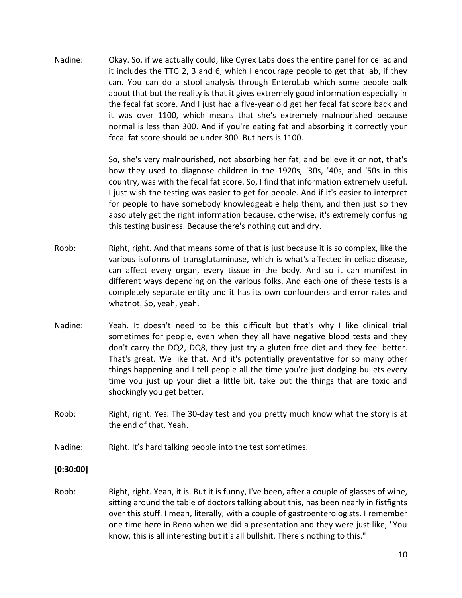Nadine: Okay. So, if we actually could, like Cyrex Labs does the entire panel for celiac and it includes the TTG 2, 3 and 6, which I encourage people to get that lab, if they can. You can do a stool analysis through EnteroLab which some people balk about that but the reality is that it gives extremely good information especially in the fecal fat score. And I just had a five-year old get her fecal fat score back and it was over 1100, which means that she's extremely malnourished because normal is less than 300. And if you're eating fat and absorbing it correctly your fecal fat score should be under 300. But hers is 1100.

> So, she's very malnourished, not absorbing her fat, and believe it or not, that's how they used to diagnose children in the 1920s, '30s, '40s, and '50s in this country, was with the fecal fat score. So, I find that information extremely useful. I just wish the testing was easier to get for people. And if it's easier to interpret for people to have somebody knowledgeable help them, and then just so they absolutely get the right information because, otherwise, it's extremely confusing this testing business. Because there's nothing cut and dry.

- Robb: Right, right. And that means some of that is just because it is so complex, like the various isoforms of transglutaminase, which is what's affected in celiac disease, can affect every organ, every tissue in the body. And so it can manifest in different ways depending on the various folks. And each one of these tests is a completely separate entity and it has its own confounders and error rates and whatnot. So, yeah, yeah.
- Nadine: Yeah. It doesn't need to be this difficult but that's why I like clinical trial sometimes for people, even when they all have negative blood tests and they don't carry the DQ2, DQ8, they just try a gluten free diet and they feel better. That's great. We like that. And it's potentially preventative for so many other things happening and I tell people all the time you're just dodging bullets every time you just up your diet a little bit, take out the things that are toxic and shockingly you get better.
- Robb: Right, right. Yes. The 30-day test and you pretty much know what the story is at the end of that. Yeah.
- Nadine: Right. It's hard talking people into the test sometimes.

#### **[0:30:00]**

Robb: Right, right. Yeah, it is. But it is funny, I've been, after a couple of glasses of wine, sitting around the table of doctors talking about this, has been nearly in fistfights over this stuff. I mean, literally, with a couple of gastroenterologists. I remember one time here in Reno when we did a presentation and they were just like, "You know, this is all interesting but it's all bullshit. There's nothing to this."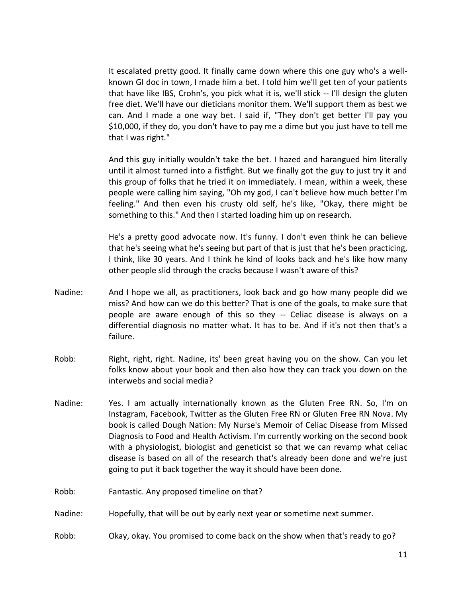It escalated pretty good. It finally came down where this one guy who's a wellknown GI doc in town, I made him a bet. I told him we'll get ten of your patients that have like IBS, Crohn's, you pick what it is, we'll stick -- I'll design the gluten free diet. We'll have our dieticians monitor them. We'll support them as best we can. And I made a one way bet. I said if, "They don't get better I'll pay you \$10,000, if they do, you don't have to pay me a dime but you just have to tell me that I was right."

And this guy initially wouldn't take the bet. I hazed and harangued him literally until it almost turned into a fistfight. But we finally got the guy to just try it and this group of folks that he tried it on immediately. I mean, within a week, these people were calling him saying, "Oh my god, I can't believe how much better I'm feeling." And then even his crusty old self, he's like, "Okay, there might be something to this." And then I started loading him up on research.

He's a pretty good advocate now. It's funny. I don't even think he can believe that he's seeing what he's seeing but part of that is just that he's been practicing, I think, like 30 years. And I think he kind of looks back and he's like how many other people slid through the cracks because I wasn't aware of this?

- Nadine: And I hope we all, as practitioners, look back and go how many people did we miss? And how can we do this better? That is one of the goals, to make sure that people are aware enough of this so they -- Celiac disease is always on a differential diagnosis no matter what. It has to be. And if it's not then that's a failure.
- Robb: Right, right, right. Nadine, its' been great having you on the show. Can you let folks know about your book and then also how they can track you down on the interwebs and social media?
- Nadine: Yes. I am actually internationally known as the Gluten Free RN. So, I'm on Instagram, Facebook, Twitter as the Gluten Free RN or Gluten Free RN Nova. My book is called Dough Nation: My Nurse's Memoir of Celiac Disease from Missed Diagnosis to Food and Health Activism. I'm currently working on the second book with a physiologist, biologist and geneticist so that we can revamp what celiac disease is based on all of the research that's already been done and we're just going to put it back together the way it should have been done.
- Robb: Fantastic. Any proposed timeline on that?
- Nadine: Hopefully, that will be out by early next year or sometime next summer.
- Robb: Okay, okay. You promised to come back on the show when that's ready to go?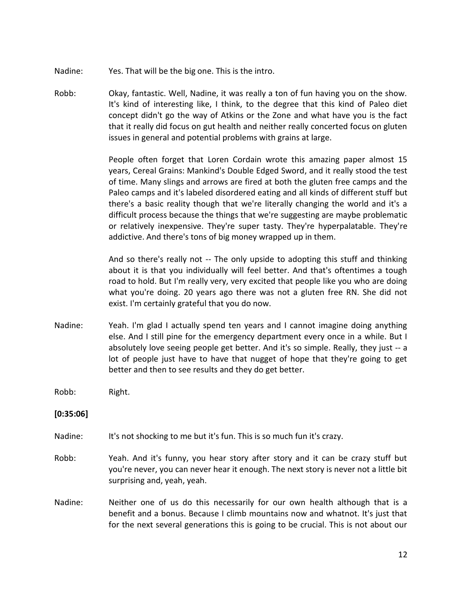- Nadine: Yes. That will be the big one. This is the intro.
- Robb: Okay, fantastic. Well, Nadine, it was really a ton of fun having you on the show. It's kind of interesting like, I think, to the degree that this kind of Paleo diet concept didn't go the way of Atkins or the Zone and what have you is the fact that it really did focus on gut health and neither really concerted focus on gluten issues in general and potential problems with grains at large.

People often forget that Loren Cordain wrote this amazing paper almost 15 years, Cereal Grains: Mankind's Double Edged Sword, and it really stood the test of time. Many slings and arrows are fired at both the gluten free camps and the Paleo camps and it's labeled disordered eating and all kinds of different stuff but there's a basic reality though that we're literally changing the world and it's a difficult process because the things that we're suggesting are maybe problematic or relatively inexpensive. They're super tasty. They're hyperpalatable. They're addictive. And there's tons of big money wrapped up in them.

And so there's really not -- The only upside to adopting this stuff and thinking about it is that you individually will feel better. And that's oftentimes a tough road to hold. But I'm really very, very excited that people like you who are doing what you're doing. 20 years ago there was not a gluten free RN. She did not exist. I'm certainly grateful that you do now.

- Nadine: Yeah. I'm glad I actually spend ten years and I cannot imagine doing anything else. And I still pine for the emergency department every once in a while. But I absolutely love seeing people get better. And it's so simple. Really, they just -- a lot of people just have to have that nugget of hope that they're going to get better and then to see results and they do get better.
- Robb: Right.

# **[0:35:06]**

- Nadine: It's not shocking to me but it's fun. This is so much fun it's crazy.
- Robb: Yeah. And it's funny, you hear story after story and it can be crazy stuff but you're never, you can never hear it enough. The next story is never not a little bit surprising and, yeah, yeah.
- Nadine: Neither one of us do this necessarily for our own health although that is a benefit and a bonus. Because I climb mountains now and whatnot. It's just that for the next several generations this is going to be crucial. This is not about our